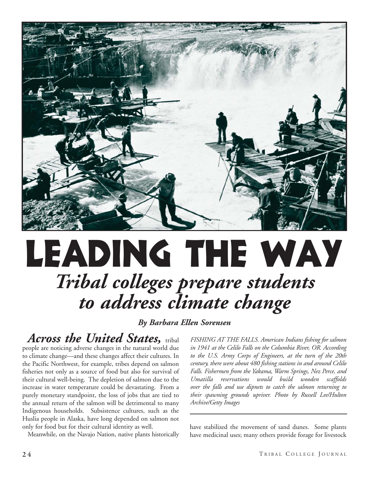

# Leading the way *Tribal colleges prepare students to address climate change*

## *By Barbara Ellen Sorensen*

*Across the United States,* tribal people are noticing adverse changes in the natural world due to climate change—and these changes affect their cultures. In the Pacific Northwest, for example, tribes depend on salmon fisheries not only as a source of food but also for survival of their cultural well-being. The depletion of salmon due to the increase in water temperature could be devastating. From a purely monetary standpoint, the loss of jobs that are tied to the annual return of the salmon will be detrimental to many Indigenous households. Subsistence cultures, such as the Huslia people in Alaska, have long depended on salmon not only for food but for their cultural identity as well.

Meanwhile, on the Navajo Nation, native plants historically

*FISHING AT THE FALLS. American Indians fishing for salmon in 1941 at the Celilo Falls on the Columbia River, OR. According to the U.S. Army Corps of Engineers, at the turn of the 20th century, there were about 480 fishing stations in and around Celilo Falls. Fishermen from the Yakama, Warm Springs, Nez Perce, and Umatilla reservations would build wooden scaffolds over the falls and use dipnets to catch the salmon returning to their spawning grounds upriver. Photo by Russell Lee/Hulton Archive/Getty Images*

have stabilized the movement of sand dunes. Some plants have medicinal uses; many others provide forage for livestock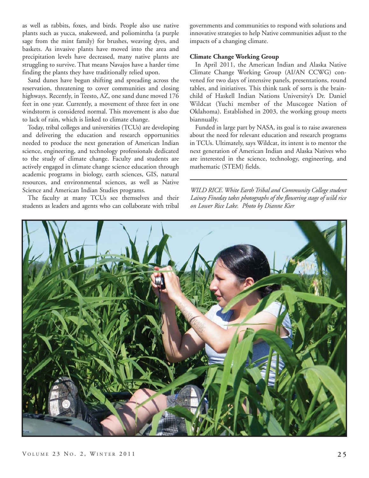as well as rabbits, foxes, and birds. People also use native plants such as yucca, snakeweed, and poliomintha (a purple sage from the mint family) for brushes, weaving dyes, and baskets. As invasive plants have moved into the area and precipitation levels have decreased, many native plants are struggling to survive. That means Navajos have a harder time finding the plants they have traditionally relied upon.

Sand dunes have begun shifting and spreading across the reservation, threatening to cover communities and closing highways. Recently, in Teesto, AZ, one sand dune moved 176 feet in one year. Currently, a movement of three feet in one windstorm is considered normal. This movement is also due to lack of rain, which is linked to climate change.

Today, tribal colleges and universities (TCUs) are developing and delivering the education and research opportunities needed to produce the next generation of American Indian science, engineering, and technology professionals dedicated to the study of climate change. Faculty and students are actively engaged in climate change science education through academic programs in biology, earth sciences, GIS, natural resources, and environmental sciences, as well as Native Science and American Indian Studies programs.

The faculty at many TCUs see themselves and their students as leaders and agents who can collaborate with tribal governments and communities to respond with solutions and innovative strategies to help Native communities adjust to the impacts of a changing climate.

#### **Climate Change Working Group**

In April 2011, the American Indian and Alaska Native Climate Change Working Group (AI/AN CCWG) convened for two days of intensive panels, presentations, round tables, and initiatives. This think tank of sorts is the brainchild of Haskell Indian Nations University's Dr. Daniel Wildcat (Yuchi member of the Muscogee Nation of Oklahoma). Established in 2003, the working group meets biannually.

Funded in large part by NASA, its goal is to raise awareness about the need for relevant education and research programs in TCUs. Ultimately, says Wildcat, its intent is to mentor the next generation of American Indian and Alaska Natives who are interested in the science, technology, engineering, and mathematic (STEM) fields.

*WILD RICE. White Earth Tribal and Community College student Lainey Fineday takes photographs of the flowering stage of wild rice on Lower Rice Lake. Photo by Dianne Kier*

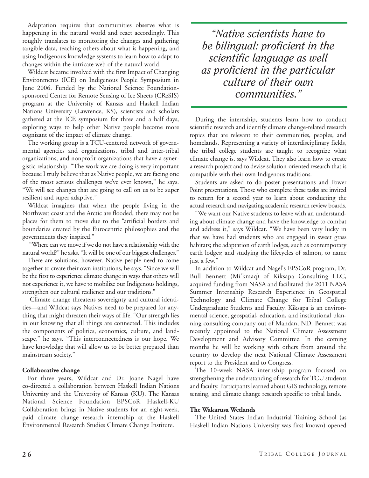Adaptation requires that communities observe what is happening in the natural world and react accordingly. This roughly translates to monitoring the changes and gathering tangible data, teaching others about what is happening, and using Indigenous knowledge systems to learn how to adapt to changes within the intricate web of the natural world.

Wildcat became involved with the first Impact of Changing Environments (ICE) on Indigenous People Symposium in June 2006. Funded by the National Science Foundationsponsored Center for Remote Sensing of Ice Sheets (CReSIS) program at the University of Kansas and Haskell Indian Nations University (Lawrence, KS), scientists and scholars gathered at the ICE symposium for three and a half days, exploring ways to help other Native people become more cognizant of the impact of climate change.

The working group is a TCU-centered network of governmental agencies and organizations, tribal and inter-tribal organizations, and nonprofit organizations that have a synergistic relationship. "The work we are doing is very important because I truly believe that as Native people, we are facing one of the most serious challenges we've ever known," he says. "We will see changes that are going to call on us to be super resilient and super adaptive."

Wildcat imagines that when the people living in the Northwest coast and the Arctic are flooded, there may not be places for them to move due to the "artificial borders and boundaries created by the Eurocentric philosophies and the governments they inspired."

"Where can we move if we do not have a relationship with the natural world?" he asks. "It will be one of our biggest challenges."

There are solutions, however. Native people need to come together to create their own institutions, he says. "Since we will be the first to experience climate change in ways that others will not experience it, we have to mobilize our Indigenous holdings, strengthen our cultural resilience and our traditions."

Climate change threatens sovereignty and cultural identities—and Wildcat says Natives need to be prepared for anything that might threaten their ways of life. "Our strength lies in our knowing that all things are connected. This includes the components of politics, economics, culture, and landscape," he says. "This interconnectedness is our hope. We have knowledge that will allow us to be better prepared than mainstream society."

### **Collaborative change**

For three years, Wildcat and Dr. Joane Nagel have co-directed a collaboration between Haskell Indian Nations University and the University of Kansas (KU). The Kansas National Science Foundation EPSCoR Haskell-KU Collaboration brings in Native students for an eight-week, paid climate change research internship at the Haskell Environmental Research Studies Climate Change Institute.

*"Native scientists have to be bilingual: proficient in the scientific language as well as proficient in the particular culture of their own communities."*

During the internship, students learn how to conduct scientific research and identify climate change-related research topics that are relevant to their communities, peoples, and homelands. Representing a variety of interdisciplinary fields, the tribal college students are taught to recognize what climate change is, says Wildcat. They also learn how to create a research project and to devise solution-oriented research that is compatible with their own Indigenous traditions.

Students are asked to do poster presentations and Power Point presentations. Those who complete these tasks are invited to return for a second year to learn about conducting the actual research and navigating academic research review boards.

"We want our Native students to leave with an understanding about climate change and have the knowledge to combat and address it," says Wildcat. "We have been very lucky in that we have had students who are engaged in sweet grass habitats; the adaptation of earth lodges, such as contemporary earth lodges; and studying the lifecycles of salmon, to name just a few."

In addition to Wildcat and Nagel's EPSCoR program, Dr. Bull Bennett (Mi'kmaq) of Kiksapa Consulting LLC, acquired funding from NASA and facilitated the 2011 NASA Summer Internship Research Experience in Geospatial Technology and Climate Change for Tribal College Undergraduate Students and Faculty. Kiksapa is an environmental science, geospatial, education, and institutional planning consulting company out of Mandan, ND. Bennett was recently appointed to the National Climate Assessment Development and Advisory Committee. In the coming months he will be working with others from around the country to develop the next National Climate Assessment report to the President and to Congress.

The 10-week NASA internship program focused on strengthening the understanding of research for TCU students and faculty. Participants learned about GIS technology, remote sensing, and climate change research specific to tribal lands.

## **The Wakarusa Wetlands**

The United States Indian Industrial Training School (as Haskell Indian Nations University was first known) opened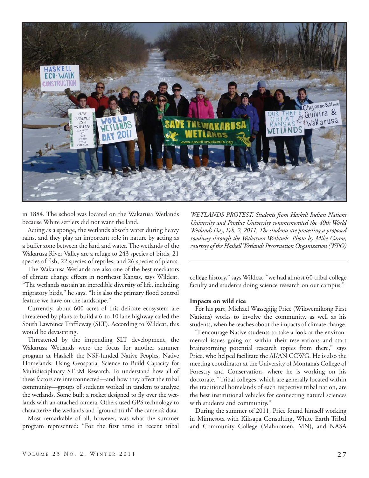

in 1884. The school was located on the Wakarusa Wetlands because White settlers did not want the land.

Acting as a sponge, the wetlands absorb water during heavy rains, and they play an important role in nature by acting as a buffer zone between the land and water. The wetlands of the Wakarusa River Valley are a refuge to 243 species of birds, 21 species of fish, 22 species of reptiles, and 26 species of plants.

The Wakarusa Wetlands are also one of the best mediators of climate change effects in northeast Kansas, says Wildcat. "The wetlands sustain an incredible diversity of life, including migratory birds," he says. "It is also the primary flood control feature we have on the landscape."

Currently, about 600 acres of this delicate ecosystem are threatened by plans to build a 6-to-10 lane highway called the South Lawrence Trafficway (SLT). According to Wildcat, this would be devastating.

Threatened by the impending SLT development, the Wakarusa Wetlands were the focus for another summer program at Haskell: the NSF-funded Native Peoples, Native Homelands: Using Geospatial Science to Build Capacity for Multidisciplinary STEM Research. To understand how all of these factors are interconnected—and how they affect the tribal community—groups of students worked in tandem to analyze the wetlands. Some built a rocket designed to fly over the wetlands with an attached camera. Others used GPS technology to characterize the wetlands and "ground truth" the camera's data.

Most remarkable of all, however, was what the summer program represented: "For the first time in recent tribal

*WETLANDS PROTEST. Students from Haskell Indian Nations University and Purdue University commemorated the 40th World Wetlands Day, Feb. 2, 2011. The students are protesting a proposed roadway through the Wakarusa Wetlands. Photo by Mike Caron, courtesy of the Haskell Wetlands Preservation Organization (WPO)*

college history," says Wildcat, "we had almost 60 tribal college faculty and students doing science research on our campus."

#### **Impacts on wild rice**

For his part, Michael Wassegijig Price (Wikwemikong First Nations) works to involve the community, as well as his students, when he teaches about the impacts of climate change.

"I encourage Native students to take a look at the environmental issues going on within their reservations and start brainstorming potential research topics from there," says Price, who helped facilitate the AI/AN CCWG. He is also the meeting coordinator at the University of Montana's College of Forestry and Conservation, where he is working on his doctorate. "Tribal colleges, which are generally located within the traditional homelands of each respective tribal nation, are the best institutional vehicles for connecting natural sciences with students and community."

During the summer of 2011, Price found himself working in Minnesota with Kiksapa Consulting, White Earth Tribal and Community College (Mahnomen, MN), and NASA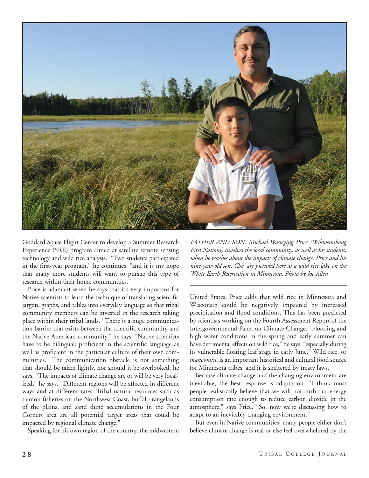

Goddard Space Flight Center to develop a Summer Research Experience (SRE) program aimed at satellite remote sensing technology and wild rice analysis. "Two students participated in the first-year program," he continues, "and it is my hope that many more students will want to pursue this type of research within their home communities."

Price is adamant when he says that it's very important for Native scientists to learn the technique of translating scientific jargon, graphs, and tables into everyday language so that tribal community members can be invested in the research taking place within their tribal lands. "There is a huge communication barrier that exists between the scientific community and the Native American community," he says. "Native scientists have to be bilingual: proficient in the scientific language as well as proficient in the particular culture of their own communities." The communication obstacle is not something that should be taken lightly, nor should it be overlooked, he says. "The impacts of climate change are or will be very localized," he says. "Different regions will be affected in different ways and at different rates. Tribal natural resources such as salmon fisheries on the Northwest Coast, buffalo rangelands of the plains, and sand dune accumulations in the Four Corners area are all potential target areas that could be impacted by regional climate change."

Speaking for his own region of the country, the midwestern

*FATHER AND SON. Michael Wassegijig Price (Wikwemikong First Nations) involves the local community, as well as his students, when he teaches about the impacts of climate change. Price and his nine-year-old son, Ché, are pictured here at a wild rice lake on the White Earth Reservation in Minnesota. Photo by Joe Allen*

United States, Price adds that wild rice in Minnesota and Wisconsin could be negatively impacted by increased precipitation and flood conditions. This has been predicted by scientists working on the Fourth Assessment Report of the Intergovernmental Panel on Climate Change. "Flooding and high water conditions in the spring and early summer can have detrimental effects on wild rice," he says, "especially during its vulnerable floating leaf stage in early June." Wild rice, or *manoomin*, is an important historical and cultural food source for Minnesota tribes, and it is sheltered by treaty laws.

Because climate change and the changing environment are inevitable, the best response is adaptation. "I think most people realistically believe that we will not curb our energy consumption rate enough to reduce carbon dioxide in the atmosphere," says Price. "So, now we're discussing how to adapt to an inevitably changing environment."

But even in Native communities, many people either don't believe climate change is real or else feel overwhelmed by the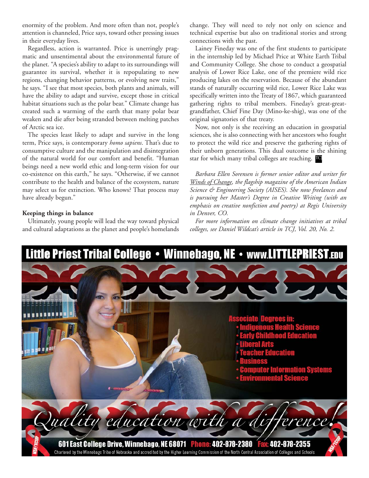enormity of the problem. And more often than not, people's attention is channeled, Price says, toward other pressing issues in their everyday lives.

Regardless, action is warranted. Price is unerringly pragmatic and unsentimental about the environmental future of the planet. "A species's ability to adapt to its surroundings will guarantee its survival, whether it is repopulating to new regions, changing behavior patterns, or evolving new traits," he says. "I see that most species, both plants and animals, will have the ability to adapt and survive, except those in critical habitat situations such as the polar bear." Climate change has created such a warming of the earth that many polar bear weaken and die after being stranded between melting patches of Arctic sea ice.

The species least likely to adapt and survive in the long term, Price says, is contemporary *homo sapiens*. That's due to consumptive culture and the manipulation and disintegration of the natural world for our comfort and benefit. "Human beings need a new world ethic and long-term vision for our co-existence on this earth," he says. "Otherwise, if we cannot contribute to the health and balance of the ecosystem, nature may select us for extinction. Who knows? That process may have already begun."

### **Keeping things in balance**

Ultimately, young people will lead the way toward physical and cultural adaptations as the planet and people's homelands change. They will need to rely not only on science and technical expertise but also on traditional stories and strong connections with the past.

Lainey Fineday was one of the first students to participate in the internship led by Michael Price at White Earth Tribal and Community College. She chose to conduct a geospatial analysis of Lower Rice Lake, one of the premiere wild rice producing lakes on the reservation. Because of the abundant stands of naturally occurring wild rice, Lower Rice Lake was specifically written into the Treaty of 1867, which guaranteed gathering rights to tribal members. Fineday's great-greatgrandfather, Chief Fine Day (Mino-ke-shig), was one of the original signatories of that treaty.

Now, not only is she receiving an education in geospatial sciences, she is also connecting with her ancestors who fought to protect the wild rice and preserve the gathering rights of their unborn generations. This dual outcome is the shining star for which many tribal colleges are reaching. TO

*Barbara Ellen Sorensen is former senior editor and writer for Winds of Change, the flagship magazine of the American Indian Science & Engineering Society (AISES). She now freelances and is pursuing her Master's Degree in Creative Writing (with an emphasis on creative nonfiction and poetry) at Regis University in Denver, CO.*

*For more information on climate change initiatives at tribal colleges, see Daniel Wildcat's article in TCJ, Vol. 20, No. 2.*